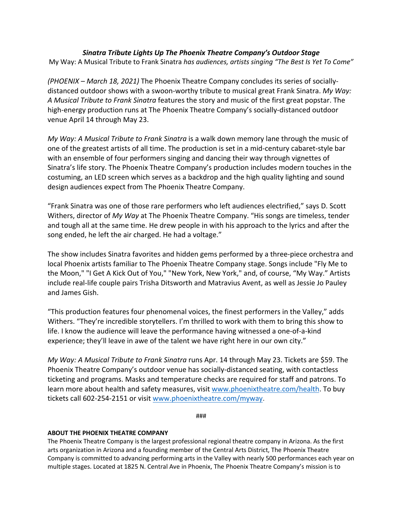## *Sinatra Tribute Lights Up The Phoenix Theatre Company's Outdoor Stage* My Way: A Musical Tribute to Frank Sinatra *has audiences, artists singing "The Best Is Yet To Come"*

*(PHOENIX – March 18, 2021)* The Phoenix Theatre Company concludes its series of sociallydistanced outdoor shows with a swoon-worthy tribute to musical great Frank Sinatra. *My Way: A Musical Tribute to Frank Sinatra* features the story and music of the first great popstar. The high-energy production runs at The Phoenix Theatre Company's socially-distanced outdoor venue April 14 through May 23.

*My Way: A Musical Tribute to Frank Sinatra* is a walk down memory lane through the music of one of the greatest artists of all time. The production is set in a mid-century cabaret-style bar with an ensemble of four performers singing and dancing their way through vignettes of Sinatra's life story. The Phoenix Theatre Company's production includes modern touches in the costuming, an LED screen which serves as a backdrop and the high quality lighting and sound design audiences expect from The Phoenix Theatre Company.

"Frank Sinatra was one of those rare performers who left audiences electrified," says D. Scott Withers, director of *My Way* at The Phoenix Theatre Company. "His songs are timeless, tender and tough all at the same time. He drew people in with his approach to the lyrics and after the song ended, he left the air charged. He had a voltage."

The show includes Sinatra favorites and hidden gems performed by a three-piece orchestra and local Phoenix artists familiar to The Phoenix Theatre Company stage. Songs include "Fly Me to the Moon," "I Get A Kick Out of You," "New York, New York," and, of course, "My Way." Artists include real-life couple pairs Trisha Ditsworth and Matravius Avent, as well as Jessie Jo Pauley and James Gish.

"This production features four phenomenal voices, the finest performers in the Valley," adds Withers. "They're incredible storytellers. I'm thrilled to work with them to bring this show to life. I know the audience will leave the performance having witnessed a one-of-a-kind experience; they'll leave in awe of the talent we have right here in our own city."

*My Way: A Musical Tribute to Frank Sinatra* runs Apr. 14 through May 23. Tickets are \$59. The Phoenix Theatre Company's outdoor venue has socially-distanced seating, with contactless ticketing and programs. Masks and temperature checks are required for staff and patrons. To learn more about health and safety measures, visit www.phoenixtheatre.com/health. To buy tickets call 602-254-2151 or visit www.phoenixtheatre.com/myway.

###

## **ABOUT THE PHOENIX THEATRE COMPANY**

The Phoenix Theatre Company is the largest professional regional theatre company in Arizona. As the first arts organization in Arizona and a founding member of the Central Arts District, The Phoenix Theatre Company is committed to advancing performing arts in the Valley with nearly 500 performances each year on multiple stages. Located at 1825 N. Central Ave in Phoenix, The Phoenix Theatre Company's mission is to